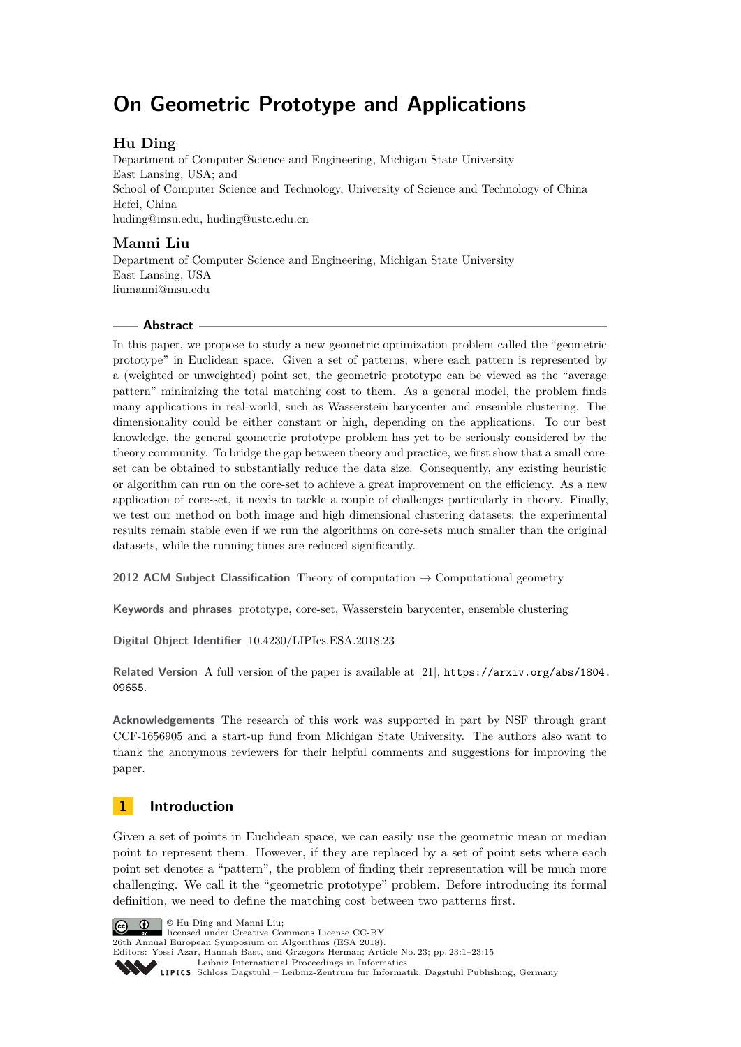# **On Geometric Prototype and Applications**

## **Hu Ding**

Department of Computer Science and Engineering, Michigan State University East Lansing, USA; and School of Computer Science and Technology, University of Science and Technology of China Hefei, China [huding@msu.edu, huding@ustc.edu.cn](mailto:huding@msu.edu, huding@ustc.edu.cn)

## **Manni Liu**

Department of Computer Science and Engineering, Michigan State University East Lansing, USA [liumanni@msu.edu](mailto:liumanni@msu.edu)

## **Abstract**

In this paper, we propose to study a new geometric optimization problem called the "geometric prototype" in Euclidean space. Given a set of patterns, where each pattern is represented by a (weighted or unweighted) point set, the geometric prototype can be viewed as the "average pattern" minimizing the total matching cost to them. As a general model, the problem finds many applications in real-world, such as Wasserstein barycenter and ensemble clustering. The dimensionality could be either constant or high, depending on the applications. To our best knowledge, the general geometric prototype problem has yet to be seriously considered by the theory community. To bridge the gap between theory and practice, we first show that a small coreset can be obtained to substantially reduce the data size. Consequently, any existing heuristic or algorithm can run on the core-set to achieve a great improvement on the efficiency. As a new application of core-set, it needs to tackle a couple of challenges particularly in theory. Finally, we test our method on both image and high dimensional clustering datasets; the experimental results remain stable even if we run the algorithms on core-sets much smaller than the original datasets, while the running times are reduced significantly.

**2012 ACM Subject Classification** Theory of computation → Computational geometry

**Keywords and phrases** prototype, core-set, Wasserstein barycenter, ensemble clustering

**Digital Object Identifier** [10.4230/LIPIcs.ESA.2018.23](http://dx.doi.org/10.4230/LIPIcs.ESA.2018.23)

Related Version A full version of the paper is available at [\[21\]](#page-13-0), [https://arxiv.org/abs/1804.](https://arxiv.org/abs/1804.09655) [09655](https://arxiv.org/abs/1804.09655).

**Acknowledgements** The research of this work was supported in part by NSF through grant CCF-1656905 and a start-up fund from Michigan State University. The authors also want to thank the anonymous reviewers for their helpful comments and suggestions for improving the paper.

## <span id="page-0-0"></span>**1 Introduction**

Given a set of points in Euclidean space, we can easily use the geometric mean or median point to represent them. However, if they are replaced by a set of point sets where each point set denotes a "pattern", the problem of finding their representation will be much more challenging. We call it the "geometric prototype" problem. Before introducing its formal definition, we need to define the matching cost between two patterns first.

© Hu Ding and Manni Liu; licensed under Creative Commons License CC-BY 26th Annual European Symposium on Algorithms (ESA 2018). Editors: Yossi Azar, Hannah Bast, and Grzegorz Herman; Article No. 23; pp. 23:1–23[:15](#page-14-0) [Leibniz International Proceedings in Informatics](http://www.dagstuhl.de/lipics/) [Schloss Dagstuhl – Leibniz-Zentrum für Informatik, Dagstuhl Publishing, Germany](http://www.dagstuhl.de)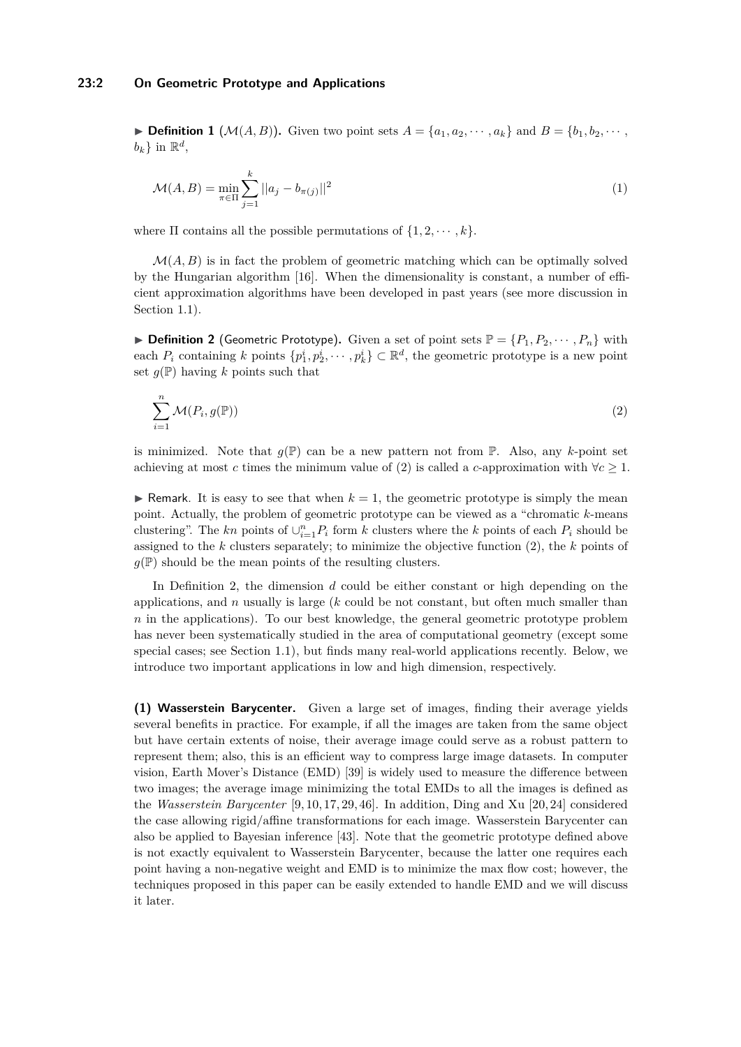<span id="page-1-2"></span>**Definition 1** ( $\mathcal{M}(A, B)$ ). Given two point sets  $A = \{a_1, a_2, \dots, a_k\}$  and  $B = \{b_1, b_2, \dots, b_k\}$  $b_k$ } in  $\mathbb{R}^d$ ,

<span id="page-1-3"></span>
$$
\mathcal{M}(A,B) = \min_{\pi \in \Pi} \sum_{j=1}^{k} ||a_j - b_{\pi(j)}||^2
$$
\n(1)

where  $\Pi$  contains all the possible permutations of  $\{1, 2, \dots, k\}$ .

 $\mathcal{M}(A, B)$  is in fact the problem of geometric matching which can be optimally solved by the Hungarian algorithm [\[16\]](#page-13-1). When the dimensionality is constant, a number of efficient approximation algorithms have been developed in past years (see more discussion in Section [1.1\)](#page-2-0).

<span id="page-1-1"></span> $\triangleright$  **Definition 2** (Geometric Prototype). Given a set of point sets  $\mathbb{P} = \{P_1, P_2, \dots, P_n\}$  with each  $P_i$  containing  $k$  points  $\{p_1^i, p_2^i, \dots, p_k^i\} \subset \mathbb{R}^d$ , the geometric prototype is a new point set  $q(\mathbb{P})$  having k points such that

<span id="page-1-0"></span>
$$
\sum_{i=1}^{n} \mathcal{M}(P_i, g(\mathbb{P})) \tag{2}
$$

is minimized. Note that  $g(\mathbb{P})$  can be a new pattern not from  $\mathbb{P}$ . Also, any *k*-point set achieving at most *c* times the minimum value of [\(2\)](#page-1-0) is called a *c*-approximation with  $\forall c \geq 1$ .

**If Remark.** It is easy to see that when  $k = 1$ , the geometric prototype is simply the mean point. Actually, the problem of geometric prototype can be viewed as a "chromatic *k*-means clustering". The *kn* points of  $\bigcup_{i=1}^{n} P_i$  form *k* clusters where the *k* points of each  $P_i$  should be assigned to the *k* clusters separately; to minimize the objective function [\(2\)](#page-1-0), the *k* points of  $g(\mathbb{P})$  should be the mean points of the resulting clusters.

In Definition [2,](#page-1-1) the dimension *d* could be either constant or high depending on the applications, and *n* usually is large (*k* could be not constant, but often much smaller than *n* in the applications). To our best knowledge, the general geometric prototype problem has never been systematically studied in the area of computational geometry (except some special cases; see Section [1.1\)](#page-2-0), but finds many real-world applications recently. Below, we introduce two important applications in low and high dimension, respectively.

**(1) Wasserstein Barycenter.** Given a large set of images, finding their average yields several benefits in practice. For example, if all the images are taken from the same object but have certain extents of noise, their average image could serve as a robust pattern to represent them; also, this is an efficient way to compress large image datasets. In computer vision, Earth Mover's Distance (EMD) [\[39\]](#page-14-1) is widely used to measure the difference between two images; the average image minimizing the total EMDs to all the images is defined as the *Wasserstein Barycenter* [\[9,](#page-12-0) [10,](#page-12-1) [17,](#page-13-2) [29,](#page-13-3) [46\]](#page-14-2). In addition, Ding and Xu [\[20,](#page-13-4) [24\]](#page-13-5) considered the case allowing rigid/affine transformations for each image. Wasserstein Barycenter can also be applied to Bayesian inference [\[43\]](#page-14-3). Note that the geometric prototype defined above is not exactly equivalent to Wasserstein Barycenter, because the latter one requires each point having a non-negative weight and EMD is to minimize the max flow cost; however, the techniques proposed in this paper can be easily extended to handle EMD and we will discuss it later.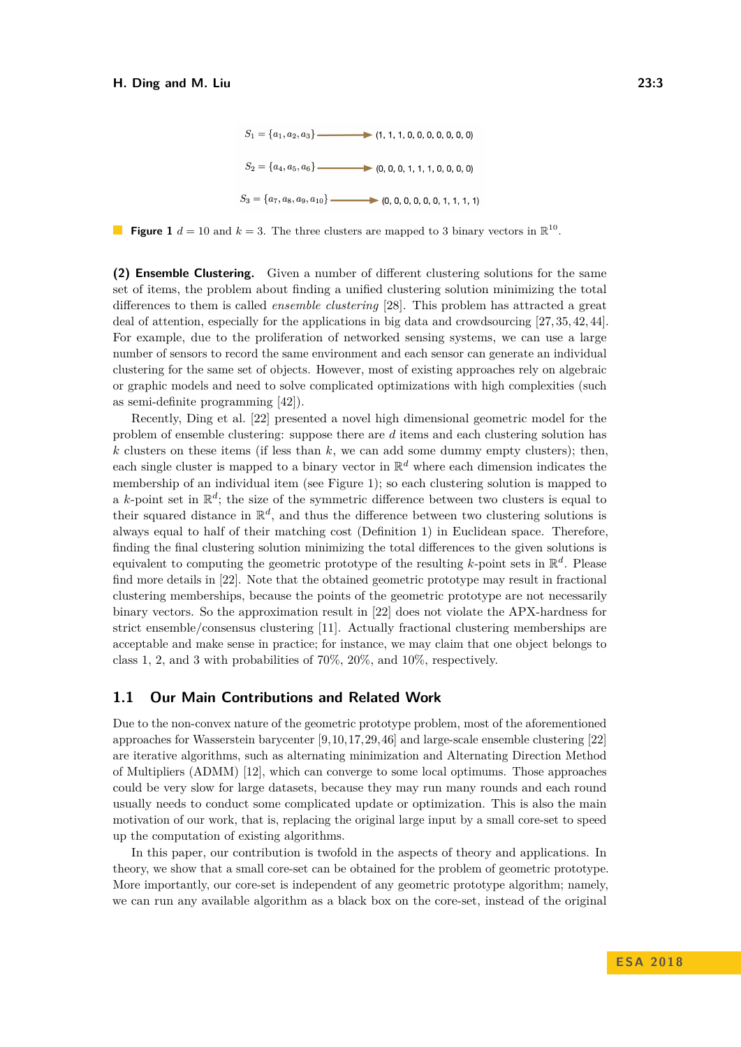

<span id="page-2-1"></span>**Figure 1**  $d = 10$  and  $k = 3$ . The three clusters are mapped to 3 binary vectors in  $\mathbb{R}^{10}$ .

**(2) Ensemble Clustering.** Given a number of different clustering solutions for the same set of items, the problem about finding a unified clustering solution minimizing the total differences to them is called *ensemble clustering* [\[28\]](#page-13-6). This problem has attracted a great deal of attention, especially for the applications in big data and crowdsourcing [\[27,](#page-13-7) [35,](#page-13-8) [42,](#page-14-4) [44\]](#page-14-5). For example, due to the proliferation of networked sensing systems, we can use a large number of sensors to record the same environment and each sensor can generate an individual clustering for the same set of objects. However, most of existing approaches rely on algebraic or graphic models and need to solve complicated optimizations with high complexities (such as semi-definite programming [\[42\]](#page-14-4)).

Recently, Ding et al. [\[22\]](#page-13-9) presented a novel high dimensional geometric model for the problem of ensemble clustering: suppose there are *d* items and each clustering solution has  $k$  clusters on these items (if less than  $k$ , we can add some dummy empty clusters); then, each single cluster is mapped to a binary vector in  $\mathbb{R}^d$  where each dimension indicates the membership of an individual item (see Figure [1\)](#page-2-1); so each clustering solution is mapped to a *k*-point set in  $\mathbb{R}^d$ ; the size of the symmetric difference between two clusters is equal to their squared distance in  $\mathbb{R}^d$ , and thus the difference between two clustering solutions is always equal to half of their matching cost (Definition [1\)](#page-1-2) in Euclidean space. Therefore, finding the final clustering solution minimizing the total differences to the given solutions is equivalent to computing the geometric prototype of the resulting *k*-point sets in R *d* . Please find more details in [\[22\]](#page-13-9). Note that the obtained geometric prototype may result in fractional clustering memberships, because the points of the geometric prototype are not necessarily binary vectors. So the approximation result in [\[22\]](#page-13-9) does not violate the APX-hardness for strict ensemble/consensus clustering [\[11\]](#page-12-2). Actually fractional clustering memberships are acceptable and make sense in practice; for instance, we may claim that one object belongs to class 1, 2, and 3 with probabilities of 70%, 20%, and 10%, respectively.

## <span id="page-2-0"></span>**1.1 Our Main Contributions and Related Work**

Due to the non-convex nature of the geometric prototype problem, most of the aforementioned approaches for Wasserstein barycenter [\[9,](#page-12-0)[10,](#page-12-1)[17,](#page-13-2)[29,](#page-13-3)[46\]](#page-14-2) and large-scale ensemble clustering [\[22\]](#page-13-9) are iterative algorithms, such as alternating minimization and Alternating Direction Method of Multipliers (ADMM) [\[12\]](#page-12-3), which can converge to some local optimums. Those approaches could be very slow for large datasets, because they may run many rounds and each round usually needs to conduct some complicated update or optimization. This is also the main motivation of our work, that is, replacing the original large input by a small core-set to speed up the computation of existing algorithms.

In this paper, our contribution is twofold in the aspects of theory and applications. In theory, we show that a small core-set can be obtained for the problem of geometric prototype. More importantly, our core-set is independent of any geometric prototype algorithm; namely, we can run any available algorithm as a black box on the core-set, instead of the original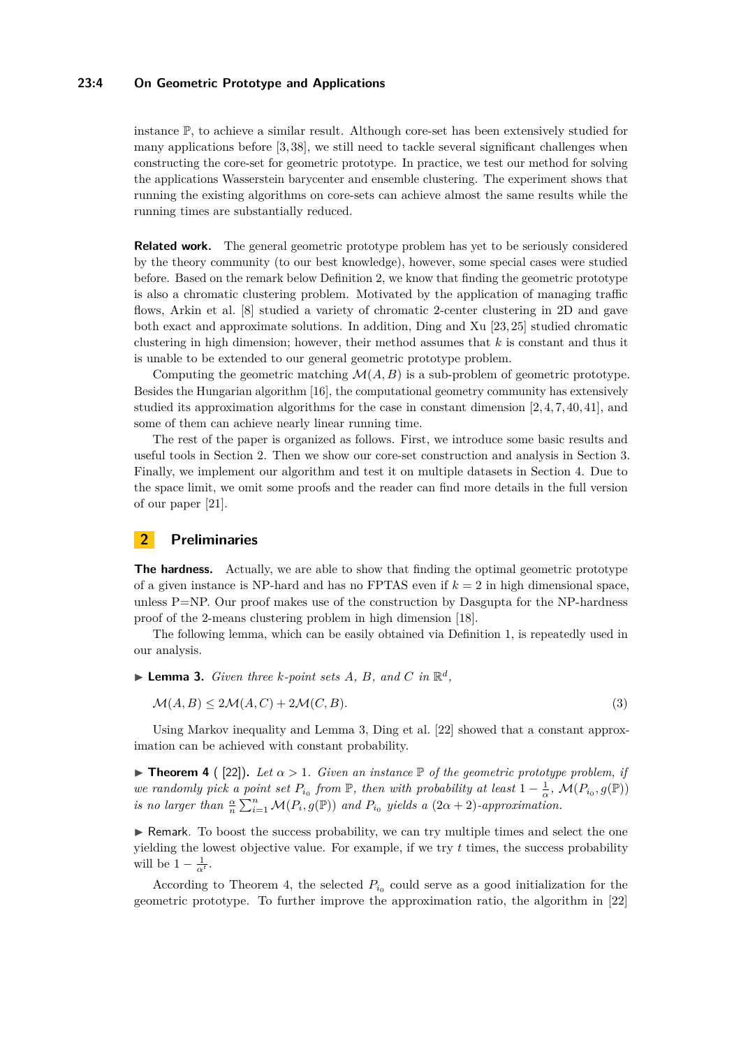#### **23:4 On Geometric Prototype and Applications**

instance P, to achieve a similar result. Although core-set has been extensively studied for many applications before [\[3,](#page-12-4) [38\]](#page-14-6), we still need to tackle several significant challenges when constructing the core-set for geometric prototype. In practice, we test our method for solving the applications Wasserstein barycenter and ensemble clustering. The experiment shows that running the existing algorithms on core-sets can achieve almost the same results while the running times are substantially reduced.

**Related work.** The general geometric prototype problem has yet to be seriously considered by the theory community (to our best knowledge), however, some special cases were studied before. Based on the remark below Definition [2,](#page-1-1) we know that finding the geometric prototype is also a chromatic clustering problem. Motivated by the application of managing traffic flows, Arkin et al. [\[8\]](#page-12-5) studied a variety of chromatic 2-center clustering in 2D and gave both exact and approximate solutions. In addition, Ding and Xu [\[23,](#page-13-10) [25\]](#page-13-11) studied chromatic clustering in high dimension; however, their method assumes that *k* is constant and thus it is unable to be extended to our general geometric prototype problem.

Computing the geometric matching  $\mathcal{M}(A, B)$  is a sub-problem of geometric prototype. Besides the Hungarian algorithm [\[16\]](#page-13-1), the computational geometry community has extensively studied its approximation algorithms for the case in constant dimension [\[2,](#page-12-6) [4,](#page-12-7) [7,](#page-12-8) [40,](#page-14-7) [41\]](#page-14-8), and some of them can achieve nearly linear running time.

The rest of the paper is organized as follows. First, we introduce some basic results and useful tools in Section [2.](#page-3-0) Then we show our core-set construction and analysis in Section [3.](#page-4-0) Finally, we implement our algorithm and test it on multiple datasets in Section [4.](#page-10-0) Due to the space limit, we omit some proofs and the reader can find more details in the full version of our paper [\[21\]](#page-13-0).

## <span id="page-3-0"></span>**2 Preliminaries**

**The hardness.** Actually, we are able to show that finding the optimal geometric prototype of a given instance is NP-hard and has no FPTAS even if *k* = 2 in high dimensional space, unless  $P=NP$ . Our proof makes use of the construction by Dasgupta for the NP-hardness proof of the 2-means clustering problem in high dimension [\[18\]](#page-13-12).

The following lemma, which can be easily obtained via Definition [1,](#page-1-2) is repeatedly used in our analysis.

<span id="page-3-1"></span> $\blacktriangleright$  **Lemma 3.** *Given three k-point sets A*, *B*, and *C* in  $\mathbb{R}^d$ ,

$$
\mathcal{M}(A,B) \le 2\mathcal{M}(A,C) + 2\mathcal{M}(C,B). \tag{3}
$$

Using Markov inequality and Lemma [3,](#page-3-1) Ding et al. [\[22\]](#page-13-9) showed that a constant approximation can be achieved with constant probability.

<span id="page-3-2"></span>**Theorem 4** ( [\[22\]](#page-13-9)). Let  $\alpha > 1$ . Given an instance  $\mathbb P$  of the geometric prototype problem, if *we randomly pick a point set*  $P_{i_0}$  from  $\mathbb{P}$ , then with probability at least  $1 - \frac{1}{\alpha}$ ,  $\mathcal{M}(P_{i_0}, g(\mathbb{P}))$ *is no larger than*  $\frac{\alpha}{n} \sum_{i=1}^{n} \mathcal{M}(P_i, g(\mathbb{P}))$  *and*  $P_{i_0}$  *yields a*  $(2\alpha + 2)$ *-approximation.* 

 $\triangleright$  Remark. To boost the success probability, we can try multiple times and select the one yielding the lowest objective value. For example, if we try *t* times, the success probability will be  $1 - \frac{1}{\alpha^t}$ .

According to Theorem [4,](#page-3-2) the selected  $P_{i_0}$  could serve as a good initialization for the geometric prototype. To further improve the approximation ratio, the algorithm in [\[22\]](#page-13-9)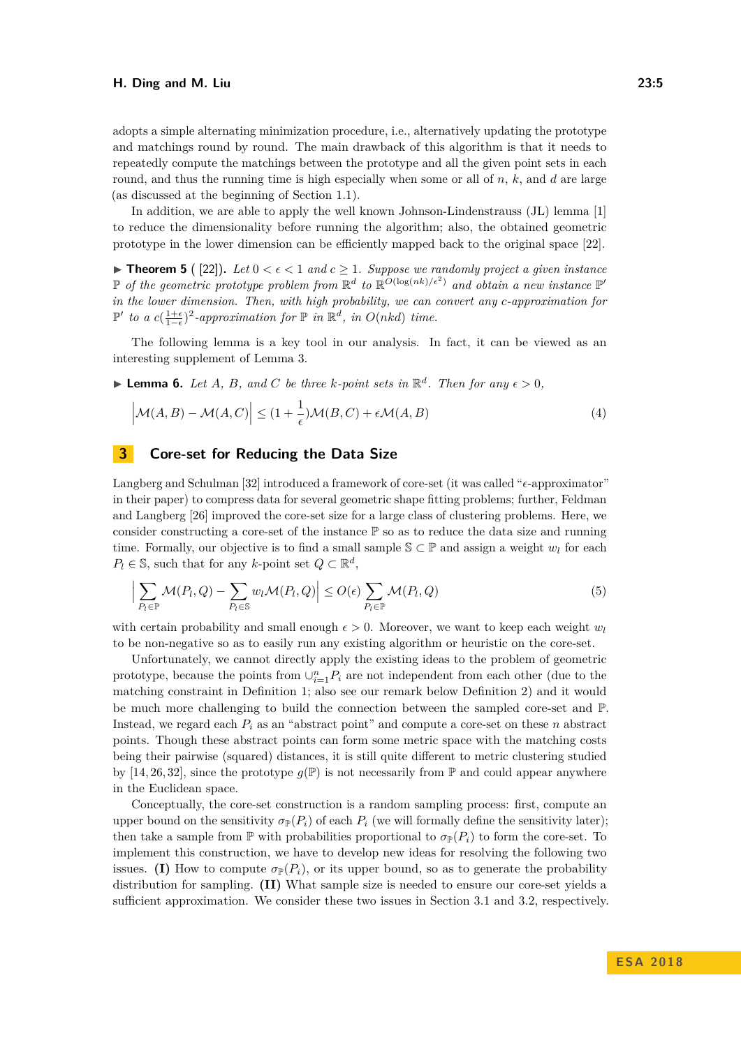adopts a simple alternating minimization procedure, i.e., alternatively updating the prototype and matchings round by round. The main drawback of this algorithm is that it needs to repeatedly compute the matchings between the prototype and all the given point sets in each round, and thus the running time is high especially when some or all of *n*, *k*, and *d* are large (as discussed at the beginning of Section [1.1\)](#page-2-0).

In addition, we are able to apply the well known Johnson-Lindenstrauss (JL) lemma [\[1\]](#page-12-9) to reduce the dimensionality before running the algorithm; also, the obtained geometric prototype in the lower dimension can be efficiently mapped back to the original space [\[22\]](#page-13-9).

<span id="page-4-3"></span>**Find 5** ( [\[22\]](#page-13-9)). Let  $0 < \epsilon < 1$  and  $c \geq 1$ . Suppose we randomly project a given instance  $\mathbb{P}$  *of the geometric prototype problem from*  $\mathbb{R}^d$  *to*  $\mathbb{R}^{O(\log(nk)/\epsilon^2)}$  *and obtain a new instance*  $\mathbb{P}^d$ *in the lower dimension. Then, with high probability, we can convert any c-approximation for*  $\mathbb{P}'$  to a  $c(\frac{1+\epsilon}{1-\epsilon})^2$ -approximation for  $\mathbb{P}$  in  $\mathbb{R}^d$ , in  $O(nkd)$  time.

The following lemma is a key tool in our analysis. In fact, it can be viewed as an interesting supplement of Lemma [3.](#page-3-1)

<span id="page-4-2"></span> $\blacktriangleright$  **Lemma 6.** *Let A*, *B*, and *C* be three *k*-point sets in  $\mathbb{R}^d$ . Then for any  $\epsilon > 0$ ,

$$
\left|\mathcal{M}(A,B) - \mathcal{M}(A,C)\right| \leq (1 + \frac{1}{\epsilon})\mathcal{M}(B,C) + \epsilon \mathcal{M}(A,B)
$$
\n(4)

## <span id="page-4-0"></span>**3 Core-set for Reducing the Data Size**

Langberg and Schulman [\[32\]](#page-13-13) introduced a framework of core-set (it was called " $\epsilon$ -approximator" in their paper) to compress data for several geometric shape fitting problems; further, Feldman and Langberg [\[26\]](#page-13-14) improved the core-set size for a large class of clustering problems. Here, we consider constructing a core-set of the instance  $\mathbb P$  so as to reduce the data size and running time. Formally, our objective is to find a small sample  $\mathbb{S} \subset \mathbb{P}$  and assign a weight  $w_l$  for each  $P_l \in \mathbb{S}$ , such that for any *k*-point set  $Q \subset \mathbb{R}^d$ ,

<span id="page-4-1"></span>
$$
\Big|\sum_{P_l\in\mathbb{P}}\mathcal{M}(P_l,Q)-\sum_{P_l\in\mathbb{S}}w_l\mathcal{M}(P_l,Q)\Big|\leq O(\epsilon)\sum_{P_l\in\mathbb{P}}\mathcal{M}(P_l,Q)\tag{5}
$$

with certain probability and small enough  $\epsilon > 0$ . Moreover, we want to keep each weight  $w_l$ to be non-negative so as to easily run any existing algorithm or heuristic on the core-set.

Unfortunately, we cannot directly apply the existing ideas to the problem of geometric prototype, because the points from  $\cup_{i=1}^{n} P_i$  are not independent from each other (due to the matching constraint in Definition [1;](#page-1-2) also see our remark below Definition [2\)](#page-1-1) and it would be much more challenging to build the connection between the sampled core-set and P. Instead, we regard each *P<sup>i</sup>* as an "abstract point" and compute a core-set on these *n* abstract points. Though these abstract points can form some metric space with the matching costs being their pairwise (squared) distances, it is still quite different to metric clustering studied by [\[14,](#page-12-10) [26,](#page-13-14) [32\]](#page-13-13), since the prototype  $g(\mathbb{P})$  is not necessarily from  $\mathbb P$  and could appear anywhere in the Euclidean space.

Conceptually, the core-set construction is a random sampling process: first, compute an upper bound on the sensitivity  $\sigma_{\mathbb{P}}(P_i)$  of each  $P_i$  (we will formally define the sensitivity later); then take a sample from  $\mathbb P$  with probabilities proportional to  $\sigma_{\mathbb P}(P_i)$  to form the core-set. To implement this construction, we have to develop new ideas for resolving the following two issues. **(I)** How to compute  $\sigma_{\mathbb{P}}(P_i)$ , or its upper bound, so as to generate the probability distribution for sampling. **(II)** What sample size is needed to ensure our core-set yields a sufficient approximation. We consider these two issues in Section [3.1](#page-5-0) and [3.2,](#page-6-0) respectively.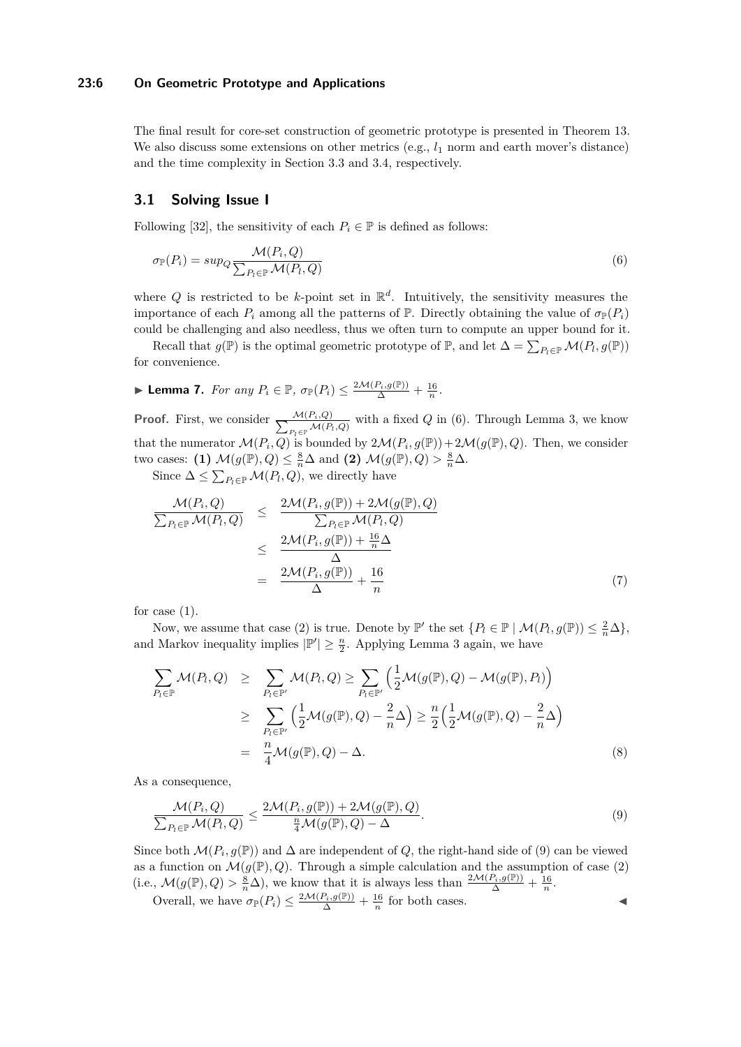### **23:6 On Geometric Prototype and Applications**

The final result for core-set construction of geometric prototype is presented in Theorem [13.](#page-9-0) We also discuss some extensions on other metrics  $(e.g., l_1 \text{ norm and earth move's distance})$ and the time complexity in Section [3.3](#page-9-1) and [3.4,](#page-10-1) respectively.

## <span id="page-5-0"></span>**3.1 Solving Issue I**

Following [\[32\]](#page-13-13), the sensitivity of each  $P_i \in \mathbb{P}$  is defined as follows:

<span id="page-5-1"></span>
$$
\sigma_{\mathbb{P}}(P_i) = \sup_{Q} \frac{\mathcal{M}(P_i, Q)}{\sum_{P_i \in \mathbb{P}} \mathcal{M}(P_i, Q)}\tag{6}
$$

where  $Q$  is restricted to be *k*-point set in  $\mathbb{R}^d$ . Intuitively, the sensitivity measures the importance of each  $P_i$  among all the patterns of  $\mathbb{P}$ . Directly obtaining the value of  $\sigma_{\mathbb{P}}(P_i)$ could be challenging and also needless, thus we often turn to compute an upper bound for it.

Recall that  $g(\mathbb{P})$  is the optimal geometric prototype of  $\mathbb{P}$ , and let  $\Delta = \sum_{P_l \in \mathbb{P}} \mathcal{M}(P_l, g(\mathbb{P}))$ for convenience.

<span id="page-5-3"></span>
$$
\blacktriangleright \textbf{ Lemma 7.} \ \textit{For any } P_i \in \mathbb{P}, \ \sigma_{\mathbb{P}}(P_i) \leq \frac{2\mathcal{M}(P_i,g(\mathbb{P}))}{\Delta} + \frac{16}{n}.
$$

**Proof.** First, we consider  $\frac{\mathcal{M}(P_i, Q)}{\sum_{P_i \subset P_i} \mathcal{M}(P_i)}$  $\frac{\mathcal{M}(P_i,Q)}{P_l\in\mathbb{P}}\mathcal{M}(P_l,Q)$  with a fixed *Q* in [\(6\)](#page-5-1). Through Lemma [3,](#page-3-1) we know that the numerator  $\mathcal{M}(P_i, Q)$  is bounded by  $2\mathcal{M}(P_i, g(\mathbb{P})) + 2\mathcal{M}(g(\mathbb{P}), Q)$ . Then, we consider two cases: **(1)**  $\mathcal{M}(g(\mathbb{P}), Q) \leq \frac{8}{n}\Delta$  and **(2)**  $\mathcal{M}(g(\mathbb{P}), Q) > \frac{8}{n}\Delta$ .

Since  $\Delta \leq \sum_{P_l \in \mathbb{P}} \mathcal{M}(P_l, Q)$ , we directly have

$$
\frac{\mathcal{M}(P_i, Q)}{\sum_{P_i \in \mathbb{P}} \mathcal{M}(P_i, Q)} \leq \frac{2\mathcal{M}(P_i, g(\mathbb{P})) + 2\mathcal{M}(g(\mathbb{P}), Q)}{\sum_{P_i \in \mathbb{P}} \mathcal{M}(P_i, Q)}
$$
\n
$$
\leq \frac{2\mathcal{M}(P_i, g(\mathbb{P})) + \frac{16}{n}\Delta}{\Delta}
$$
\n
$$
= \frac{2\mathcal{M}(P_i, g(\mathbb{P}))}{\Delta} + \frac{16}{n} \tag{7}
$$

for case  $(1)$ .

Now, we assume that case (2) is true. Denote by  $\mathbb{P}'$  the set  $\{P_l \in \mathbb{P} \mid \mathcal{M}(P_l, g(\mathbb{P})) \leq \frac{2}{n}\Delta\},\$ and Markov inequality implies  $|\mathbb{P}'| \geq \frac{n}{2}$ . Applying Lemma [3](#page-3-1) again, we have

$$
\sum_{P_l \in \mathbb{P}} \mathcal{M}(P_l, Q) \geq \sum_{P_l \in \mathbb{P}'} \mathcal{M}(P_l, Q) \geq \sum_{P_l \in \mathbb{P}'} \left( \frac{1}{2} \mathcal{M}(g(\mathbb{P}), Q) - \mathcal{M}(g(\mathbb{P}), P_l) \right)
$$
\n
$$
\geq \sum_{P_l \in \mathbb{P}'} \left( \frac{1}{2} \mathcal{M}(g(\mathbb{P}), Q) - \frac{2}{n} \Delta \right) \geq \frac{n}{2} \left( \frac{1}{2} \mathcal{M}(g(\mathbb{P}), Q) - \frac{2}{n} \Delta \right)
$$
\n
$$
= \frac{n}{4} \mathcal{M}(g(\mathbb{P}), Q) - \Delta.
$$
\n(8)

As a consequence,

<span id="page-5-2"></span>
$$
\frac{\mathcal{M}(P_i, Q)}{\sum_{P_i \in \mathbb{P}} \mathcal{M}(P_i, Q)} \le \frac{2\mathcal{M}(P_i, g(\mathbb{P})) + 2\mathcal{M}(g(\mathbb{P}), Q)}{\frac{n}{4}\mathcal{M}(g(\mathbb{P}), Q) - \Delta}.
$$
\n(9)

Since both  $\mathcal{M}(P_i, g(\mathbb{P}))$  and  $\Delta$  are independent of  $Q$ , the right-hand side of  $(9)$  can be viewed as a function on  $\mathcal{M}(g(\mathbb{P}), Q)$ . Through a simple calculation and the assumption of case (2) (i.e.,  $\mathcal{M}(g(\mathbb{P}), Q) > \frac{8}{n}\Delta$ ), we know that it is always less than  $\frac{2\mathcal{M}(P_i, g(\mathbb{P}))}{\Delta} + \frac{16}{n}$ .

Overall, we have  $\sigma_{\mathbb{P}}(P_i) \leq \frac{2\mathcal{M}(P_i,g(\mathbb{P}))}{\Delta} + \frac{16}{n}$  for both cases.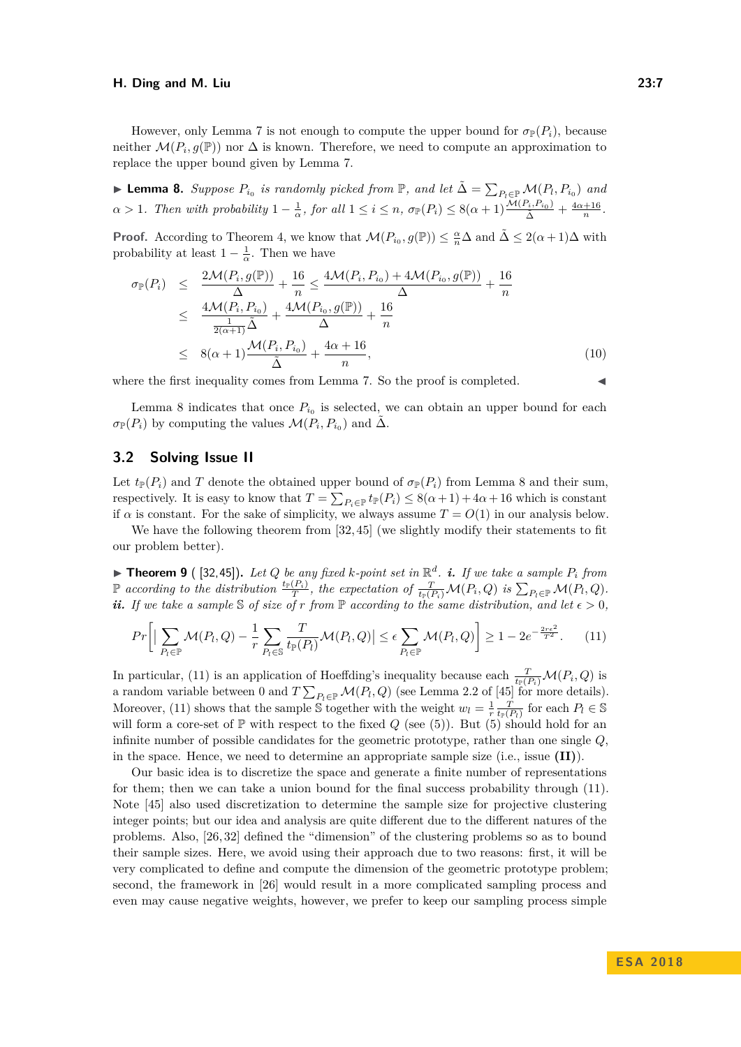However, only Lemma [7](#page-5-3) is not enough to compute the upper bound for  $\sigma_P(P_i)$ , because neither  $\mathcal{M}(P_i, g(\mathbb{P}))$  nor  $\Delta$  is known. Therefore, we need to compute an approximation to replace the upper bound given by Lemma [7.](#page-5-3)

<span id="page-6-1"></span>▶ **Lemma 8.** *Suppose*  $P_{i_0}$  *is randomly picked from*  $\mathbb{P}$ *, and let*  $\tilde{\Delta} = \sum_{P_l \in \mathbb{P}} \mathcal{M}(P_l, P_{i_0})$  *and*  $\alpha > 1$ . Then with probability  $1 - \frac{1}{\alpha}$ , for all  $1 \leq i \leq n$ ,  $\sigma_{\mathbb{P}}(P_i) \leq 8(\alpha + 1) \frac{\mathcal{M}(P_i, P_{i_0})}{\tilde{\Delta}} + \frac{4\alpha + 16}{n}$ .

**Proof.** According to Theorem [4,](#page-3-2) we know that  $\mathcal{M}(P_{i_0}, g(\mathbb{P})) \leq \frac{\alpha}{n} \Delta$  and  $\tilde{\Delta} \leq 2(\alpha+1)\Delta$  with probability at least  $1 - \frac{1}{\alpha}$ . Then we have

$$
\sigma_{\mathbb{P}}(P_i) \leq \frac{2\mathcal{M}(P_i, g(\mathbb{P}))}{\Delta} + \frac{16}{n} \leq \frac{4\mathcal{M}(P_i, P_{i_0}) + 4\mathcal{M}(P_{i_0}, g(\mathbb{P}))}{\Delta} + \frac{16}{n} \n\leq \frac{4\mathcal{M}(P_i, P_{i_0})}{\frac{1}{2(\alpha+1)}\tilde{\Delta}} + \frac{4\mathcal{M}(P_{i_0}, g(\mathbb{P}))}{\Delta} + \frac{16}{n} \n\leq 8(\alpha+1)\frac{\mathcal{M}(P_i, P_{i_0})}{\tilde{\Delta}} + \frac{4\alpha+16}{n},
$$
\n(10)

where the first inequality comes from Lemma [7.](#page-5-3) So the proof is completed.

Lemma [8](#page-6-1) indicates that once  $P_{i_0}$  is selected, we can obtain an upper bound for each  $\sigma_{\mathbb{P}}(P_i)$  by computing the values  $\mathcal{M}(P_i, P_{i_0})$  and  $\tilde{\Delta}$ .

## <span id="page-6-0"></span>**3.2 Solving Issue II**

Let  $t_P(P_i)$  and *T* denote the obtained upper bound of  $\sigma_P(P_i)$  from Lemma [8](#page-6-1) and their sum, respectively. It is easy to know that  $T = \sum_{P_i \in \mathbb{P}} t_{\mathbb{P}}(P_i) \leq 8(\alpha + 1) + 4\alpha + 16$  which is constant if  $\alpha$  is constant. For the sake of simplicity, we always assume  $T = O(1)$  in our analysis below.

We have the following theorem from [\[32,](#page-13-13) [45\]](#page-14-9) (we slightly modify their statements to fit our problem better).

<span id="page-6-3"></span> $\blacktriangleright$  **Theorem 9** ([\[32,](#page-13-13)[45\]](#page-14-9)). Let Q be any fixed k-point set in  $\mathbb{R}^d$ . **i.** If we take a sample  $P_i$  from  $\mathbb P$  according to the distribution  $\frac{t_{\mathbb P}(P_i)}{T}$ , the expectation of  $\frac{T}{t_{\mathbb P}(P_i)}\mathcal M(P_i,Q)$  is  $\sum_{P_i\in\mathbb P}\mathcal M(P_i,Q)$ . *ii.* If we take a sample S of size of *r* from  $\mathbb P$  according to the same distribution, and let  $\epsilon > 0$ ,

<span id="page-6-2"></span>
$$
Pr\left[\Big|\sum_{P_l\in\mathbb{P}}\mathcal{M}(P_l,Q)-\frac{1}{r}\sum_{P_l\in\mathbb{S}}\frac{T}{t_{\mathbb{P}}(P_l)}\mathcal{M}(P_l,Q)\Big|\leq \epsilon\sum_{P_l\in\mathbb{P}}\mathcal{M}(P_l,Q)\right]\geq 1-2e^{-\frac{2r\epsilon^2}{T^2}}.\tag{11}
$$

In particular, [\(11\)](#page-6-2) is an application of Hoeffding's inequality because each  $\frac{T}{t_{\mathbb{P}}(P_i)}\mathcal{M}(P_i, Q)$  is a random variable between 0 and  $T \sum_{P_l \in \mathbb{P}} \mathcal{M}(P_l, Q)$  (see Lemma 2.2 of [\[45\]](#page-14-9) for more details). Moreover, [\(11\)](#page-6-2) shows that the sample S together with the weight  $w_l = \frac{1}{r} \frac{T}{t_P(P_l)}$  for each  $P_l \in \mathbb{S}$ will form a core-set of  $\mathbb P$  with respect to the fixed  $Q$  (see [\(5\)](#page-4-1)). But (5) should hold for an infinite number of possible candidates for the geometric prototype, rather than one single *Q*, in the space. Hence, we need to determine an appropriate sample size (i.e., issue **(II)**).

Our basic idea is to discretize the space and generate a finite number of representations for them; then we can take a union bound for the final success probability through [\(11\)](#page-6-2). Note [\[45\]](#page-14-9) also used discretization to determine the sample size for projective clustering integer points; but our idea and analysis are quite different due to the different natures of the problems. Also, [\[26,](#page-13-14) [32\]](#page-13-13) defined the "dimension" of the clustering problems so as to bound their sample sizes. Here, we avoid using their approach due to two reasons: first, it will be very complicated to define and compute the dimension of the geometric prototype problem; second, the framework in [\[26\]](#page-13-14) would result in a more complicated sampling process and even may cause negative weights, however, we prefer to keep our sampling process simple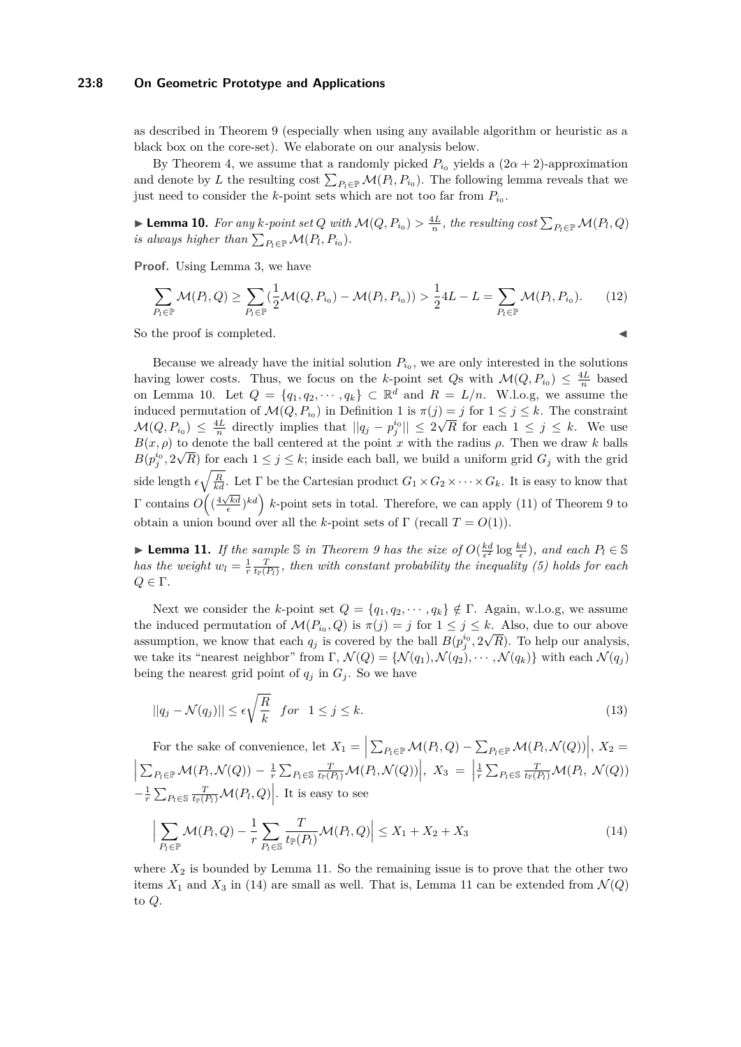#### **23:8 On Geometric Prototype and Applications**

as described in Theorem [9](#page-6-3) (especially when using any available algorithm or heuristic as a black box on the core-set). We elaborate on our analysis below.

By Theorem [4,](#page-3-2) we assume that a randomly picked  $P_{i_0}$  yields a  $(2\alpha + 2)$ -approximation and denote by *L* the resulting cost  $\sum_{P_l \in \mathbb{P}} \mathcal{M}(P_l, P_{i_0})$ . The following lemma reveals that we just need to consider the *k*-point sets which are not too far from  $P_{i_0}$ .

<span id="page-7-0"></span>▶ **Lemma 10.** For any *k-point set Q* with  $\mathcal{M}(Q, P_{i_0}) > \frac{4L}{n}$ , the resulting cost  $\sum_{P_l \in \mathbb{P}} \mathcal{M}(P_l, Q)$ *is always higher than*  $\sum_{P_l \in \mathbb{P}} \mathcal{M}(P_l, P_{i_0})$ *.* 

**Proof.** Using Lemma [3,](#page-3-1) we have

$$
\sum_{P_l \in \mathbb{P}} \mathcal{M}(P_l, Q) \ge \sum_{P_l \in \mathbb{P}} (\frac{1}{2} \mathcal{M}(Q, P_{i_0}) - \mathcal{M}(P_l, P_{i_0})) > \frac{1}{2} 4L - L = \sum_{P_l \in \mathbb{P}} \mathcal{M}(P_l, P_{i_0}).
$$
 (12)

So the proof is completed.

Because we already have the initial solution  $P_{i_0}$ , we are only interested in the solutions having lower costs. Thus, we focus on the *k*-point set *Qs* with  $\mathcal{M}(Q, P_{i_0}) \leq \frac{4L}{n}$  based on Lemma [10.](#page-7-0) Let  $Q = \{q_1, q_2, \dots, q_k\} \subset \mathbb{R}^d$  and  $R = L/n$ . W.l.o.g, we assume the induced permutation of  $\mathcal{M}(Q, P_{i_0})$  in Definition [1](#page-1-2) is  $\pi(j) = j$  for  $1 \leq j \leq k$ . The constraint  $\mathcal{M}(Q, P_{i_0}) \leq \frac{4L}{n}$  directly implies that  $||q_j - p_j^{i_0}|| \leq 2\sqrt{R}$  for each  $1 \leq j \leq k$ . We use  $B(x, \rho)$  to denote the ball centered at the point *x* with the radius  $\rho$ . Then we draw *k* balls  $B(p_j^{i_0}, 2\sqrt{R})$  for each  $1 \leq j \leq k$ ; inside each ball, we build a uniform grid  $G_j$  with the grid side length  $\epsilon \sqrt{\frac{R}{kd}}$ . Let  $\Gamma$  be the Cartesian product  $G_1 \times G_2 \times \cdots \times G_k$ . It is easy to know that  $\Gamma$  contains  $O\left(\left(\frac{4\sqrt{kd}}{\epsilon}\right)^{kd}\right)$  *k*-point sets in total. Therefore, we can apply [\(11\)](#page-6-2) of Theorem [9](#page-6-3) to obtain a union bound over all the *k*-point sets of  $\Gamma$  (recall  $T = O(1)$ ).

<span id="page-7-1"></span>► Lemma 11. *If the sample*  $\Im$  *in Theorem [9](#page-6-3) has the size of*  $O(\frac{kd}{\epsilon^2} \log \frac{kd}{\epsilon})$ *, and each*  $P_l \in \mathbb{S}$ *has the weight*  $w_l = \frac{1}{r} \frac{T}{t_F(P_l)}$ , then with constant probability the inequality [\(5\)](#page-4-1) holds for each *Q* ∈ Γ*.*

Next we consider the *k*-point set  $Q = \{q_1, q_2, \dots, q_k\} \notin \Gamma$ . Again, w.l.o.g, we assume the induced permutation of  $\mathcal{M}(P_{i_0}, Q)$  is  $\pi(j) = j$  for  $1 \leq j \leq k$ . Also, due to our above assumption, we know that each  $q_j$  is covered by the ball  $B(p_j^{i_0}, 2\sqrt{R})$ . To help our analysis, we take its "nearest neighbor" from  $\Gamma$ ,  $\mathcal{N}(Q) = \{ \mathcal{N}(q_1), \mathcal{N}(q_2), \cdots, \mathcal{N}(q_k) \}$  with each  $\mathcal{N}(q_j)$ being the nearest grid point of  $q_j$  in  $G_j$ . So we have

<span id="page-7-3"></span>
$$
||q_j - \mathcal{N}(q_j)|| \le \epsilon \sqrt{\frac{R}{k}} \quad \text{for} \quad 1 \le j \le k. \tag{13}
$$

For the sake of convenience, let  $X_1 = \left| \sum_{P_l \in \mathbb{P}} \mathcal{M}(P_l, Q) - \sum_{P_l \in \mathbb{P}} \mathcal{M}(P_l, \mathcal{N}(Q)) \right|, X_2 =$  $\left| \sum_{P_i \in \mathbb{P}} \mathcal{M}(P_i, \mathcal{N}(Q)) - \frac{1}{r} \sum_{P_i \in \mathbb{S}} \frac{T}{t_{\mathbb{P}}(P_i)} \mathcal{M}(P_i, \mathcal{N}(Q)) \right|, X_3 = \left| \frac{T}{t_{\mathbb{P}}(P_i)} \mathcal{M}(P_i, \mathcal{N}(Q)) \right|$  $\frac{1}{r}\sum_{P_l\in\mathbb{S}}\frac{T}{t_{\mathbb{P}}(P_l)}\mathcal{M}(P_l, \ \mathcal{N}(Q))$  $\left[-\frac{1}{r}\sum_{P_l\in\mathbb{S}}\frac{T}{t_{\mathbb{P}}(P_l)}\mathcal{M}(P_l,Q)\right]$ . It is easy to see

<span id="page-7-2"></span>
$$
\Big|\sum_{P_l\in\mathbb{P}}\mathcal{M}(P_l,Q)-\frac{1}{r}\sum_{P_l\in\mathbb{S}}\frac{T}{t_{\mathbb{P}}(P_l)}\mathcal{M}(P_l,Q)\Big|\leq X_1+X_2+X_3\tag{14}
$$

where  $X_2$  is bounded by Lemma [11.](#page-7-1) So the remaining issue is to prove that the other two items  $X_1$  and  $X_3$  in [\(14\)](#page-7-2) are small as well. That is, Lemma [11](#page-7-1) can be extended from  $\mathcal{N}(Q)$ to *Q*.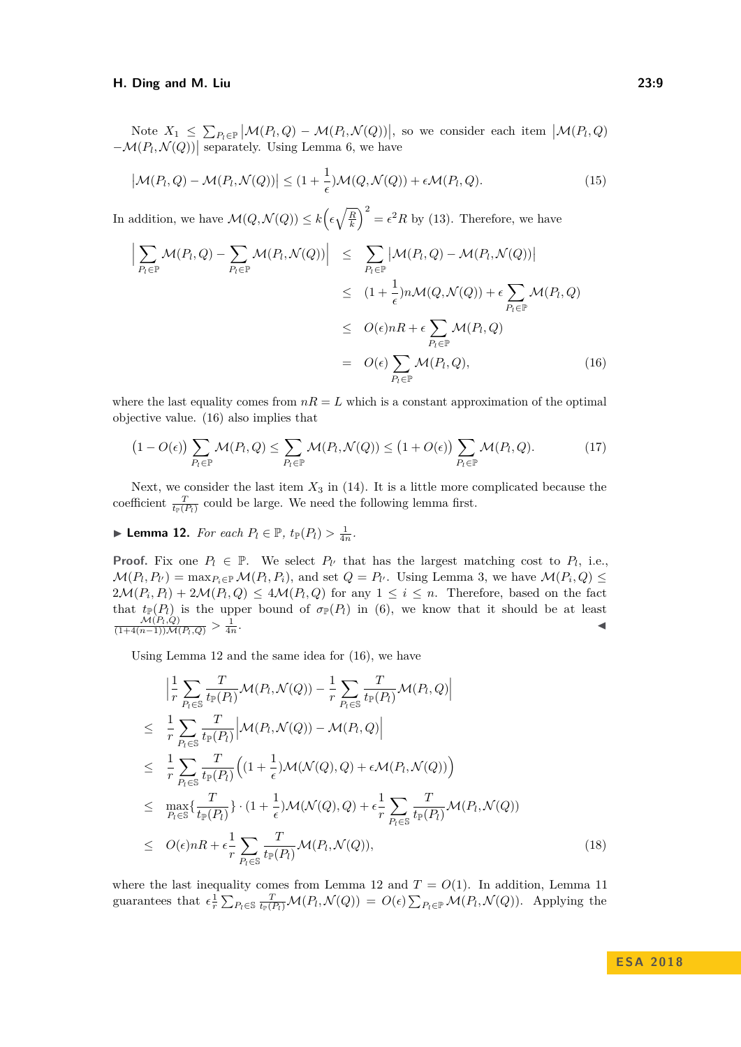Note  $X_1 \leq \sum_{P_l \in \mathbb{P}} |\mathcal{M}(P_l, Q) - \mathcal{M}(P_l, \mathcal{N}(Q))|$ , so we consider each item  $|\mathcal{M}(P_l, Q)|$  $-\mathcal{M}(P_l, \mathcal{N}(Q))$  separately. Using Lemma [6,](#page-4-2) we have

$$
\left|\mathcal{M}(P_l, Q) - \mathcal{M}(P_l, \mathcal{N}(Q))\right| \leq (1 + \frac{1}{\epsilon})\mathcal{M}(Q, \mathcal{N}(Q)) + \epsilon \mathcal{M}(P_l, Q). \tag{15}
$$

In addition, we have  $\mathcal{M}(Q, \mathcal{N}(Q)) \leq k \left(\epsilon \sqrt{\frac{R}{k}}\right)^2 = \epsilon^2 R$  by [\(13\)](#page-7-3). Therefore, we have

<span id="page-8-0"></span>
$$
\left| \sum_{P_l \in \mathbb{P}} \mathcal{M}(P_l, Q) - \sum_{P_l \in \mathbb{P}} \mathcal{M}(P_l, \mathcal{N}(Q)) \right| \leq \sum_{P_l \in \mathbb{P}} \left| \mathcal{M}(P_l, Q) - \mathcal{M}(P_l, \mathcal{N}(Q)) \right|
$$
  
\n
$$
\leq (1 + \frac{1}{\epsilon}) n \mathcal{M}(Q, \mathcal{N}(Q)) + \epsilon \sum_{P_l \in \mathbb{P}} \mathcal{M}(P_l, Q)
$$
  
\n
$$
\leq O(\epsilon) nR + \epsilon \sum_{P_l \in \mathbb{P}} \mathcal{M}(P_l, Q)
$$
  
\n
$$
= O(\epsilon) \sum_{P_l \in \mathbb{P}} \mathcal{M}(P_l, Q), \qquad (16)
$$

where the last equality comes from  $nR = L$  which is a constant approximation of the optimal objective value. [\(16\)](#page-8-0) also implies that

<span id="page-8-2"></span>
$$
(1 - O(\epsilon)) \sum_{P_l \in \mathbb{P}} \mathcal{M}(P_l, Q) \le \sum_{P_l \in \mathbb{P}} \mathcal{M}(P_l, \mathcal{N}(Q)) \le (1 + O(\epsilon)) \sum_{P_l \in \mathbb{P}} \mathcal{M}(P_l, Q). \tag{17}
$$

Next, we consider the last item  $X_3$  in [\(14\)](#page-7-2). It is a little more complicated because the coefficient  $\frac{T}{t_{\mathbb{P}}(P_t)}$  could be large. We need the following lemma first.

<span id="page-8-1"></span>▶ **Lemma 12.** *For each*  $P_l \in \mathbb{P}$ *, t*<sub> $\mathbb{P}(P_l) > \frac{1}{4n}$ *.*</sub>

**Proof.** Fix one  $P_l \in \mathbb{P}$ . We select  $P_{l'}$  that has the largest matching cost to  $P_l$ , i.e.,  $\mathcal{M}(P_l, P_{l'}) = \max_{P_i \in \mathbb{P}} \mathcal{M}(P_l, P_i)$ , and set  $Q = P_{l'}$ . Using Lemma [3,](#page-3-1) we have  $\mathcal{M}(P_i, Q) \leq$  $2\mathcal{M}(P_i, P_i) + 2\mathcal{M}(P_i, Q) \leq 4\mathcal{M}(P_i, Q)$  for any  $1 \leq i \leq n$ . Therefore, based on the fact that  $t_{\mathbb{P}}(P_l)$  is the upper bound of  $\sigma_{\mathbb{P}}(P_l)$  in [\(6\)](#page-5-1), we know that it should be at least  $\frac{\mathcal{M}(P_l,Q)}{(1+4(n-1))\mathcal{M}(P_l,Q)} > \frac{1}{4n}$ .

Using Lemma [12](#page-8-1) and the same idea for [\(16\)](#page-8-0), we have

<span id="page-8-3"></span>
$$
\begin{split}\n&\left|\frac{1}{r}\sum_{P_{t}\in\mathcal{S}}\frac{T}{t_{\mathbb{P}}(P_{t})}\mathcal{M}(P_{t},\mathcal{N}(Q))-\frac{1}{r}\sum_{P_{t}\in\mathcal{S}}\frac{T}{t_{\mathbb{P}}(P_{t})}\mathcal{M}(P_{t},Q)\right| \\
&\leq \frac{1}{r}\sum_{P_{t}\in\mathcal{S}}\frac{T}{t_{\mathbb{P}}(P_{t})}\left|\mathcal{M}(P_{t},\mathcal{N}(Q))-\mathcal{M}(P_{t},Q)\right| \\
&\leq \frac{1}{r}\sum_{P_{t}\in\mathcal{S}}\frac{T}{t_{\mathbb{P}}(P_{t})}\left((1+\frac{1}{\epsilon})\mathcal{M}(\mathcal{N}(Q),Q)+\epsilon\mathcal{M}(P_{t},\mathcal{N}(Q))\right) \\
&\leq \max_{P_{t}\in\mathcal{S}}\left\{\frac{T}{t_{\mathbb{P}}(P_{t})}\right\}\cdot(1+\frac{1}{\epsilon})\mathcal{M}(\mathcal{N}(Q),Q)+\epsilon\frac{1}{r}\sum_{P_{t}\in\mathcal{S}}\frac{T}{t_{\mathbb{P}}(P_{t})}\mathcal{M}(P_{t},\mathcal{N}(Q)) \\
&\leq O(\epsilon)nR+\epsilon\frac{1}{r}\sum_{P_{t}\in\mathcal{S}}\frac{T}{t_{\mathbb{P}}(P_{t})}\mathcal{M}(P_{t},\mathcal{N}(Q)),\n\end{split} \tag{18}
$$

where the last inequality comes from Lemma [12](#page-8-1) and  $T = O(1)$ . In addition, Lemma [11](#page-7-1) guarantees that  $\epsilon \frac{1}{r} \sum_{P_l \in S} \frac{T}{t_P(P_l)} \mathcal{M}(P_l, \mathcal{N}(Q)) = O(\epsilon) \sum_{P_l \in \mathbb{P}} \mathcal{M}(P_l, \mathcal{N}(Q))$ . Applying the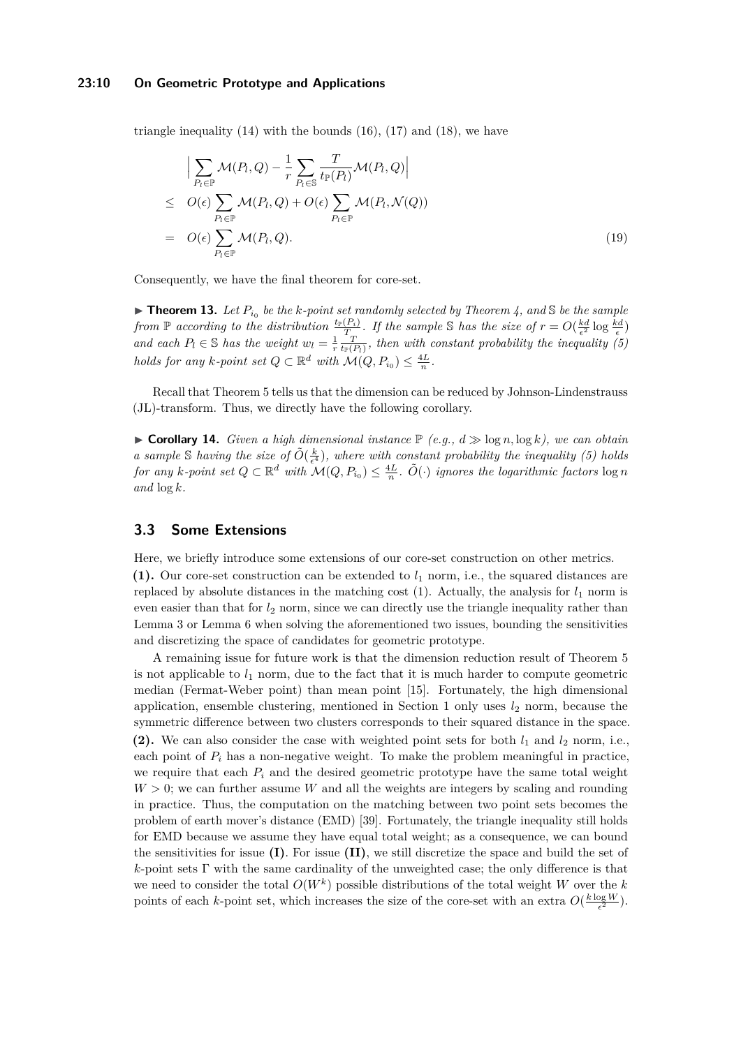#### **23:10 On Geometric Prototype and Applications**

triangle inequality  $(14)$  with the bounds  $(16)$ ,  $(17)$  and  $(18)$ , we have

$$
\left| \sum_{P_t \in \mathbb{P}} \mathcal{M}(P_t, Q) - \frac{1}{r} \sum_{P_t \in \mathbb{S}} \frac{T}{t_{\mathbb{P}}(P_t)} \mathcal{M}(P_t, Q) \right|
$$
\n
$$
\leq O(\epsilon) \sum_{P_t \in \mathbb{P}} \mathcal{M}(P_t, Q) + O(\epsilon) \sum_{P_t \in \mathbb{P}} \mathcal{M}(P_t, \mathcal{N}(Q))
$$
\n
$$
= O(\epsilon) \sum_{P_t \in \mathbb{P}} \mathcal{M}(P_t, Q). \tag{19}
$$

Consequently, we have the final theorem for core-set.

<span id="page-9-0"></span> $\blacktriangleright$  **Theorem 13.** Let  $P_{i_0}$  be the k-point set randomly selected by Theorem [4,](#page-3-2) and  $\mathbb{S}$  be the sample *from*  $\mathbb{P}$  *according to the distribution*  $\frac{t_{\mathbb{P}}(P_i)}{T_{\infty}}$ . If the sample S has the size of  $r = O(\frac{kd}{\epsilon^2} \log \frac{kd}{\epsilon})$ and each  $P_l \in \mathbb{S}$  has the weight  $w_l = \frac{1}{r} \frac{T}{t_F(P_l)}$ , then with constant probability the inequality [\(5\)](#page-4-1) *holds for any k-point set*  $Q \subset \mathbb{R}^d$  *with*  $\mathcal{M}(Q, P_{i_0}) \leq \frac{4L}{n}$ .

Recall that Theorem [5](#page-4-3) tells us that the dimension can be reduced by Johnson-Lindenstrauss (JL)-transform. Thus, we directly have the following corollary.

<span id="page-9-2"></span> $\triangleright$  **Corollary 14.** *Given a high dimensional instance*  $\mathbb{P}$  (e.g.,  $d \geqslant \log n, \log k$ ), we can obtain *a* sample S having the size of  $\tilde{O}(\frac{k}{\epsilon^4})$ , where with constant probability the inequality [\(5\)](#page-4-1) holds  $f$ or any  $k$ *-point set*  $Q \subset \mathbb{R}^d$  *with*  $\mathcal{M}(Q, P_{i_0}) \leq \frac{4L}{n}$ *.*  $\tilde{O}(\cdot)$  *ignores the logarithmic factors* log *n and* log *k.*

### <span id="page-9-1"></span>**3.3 Some Extensions**

Here, we briefly introduce some extensions of our core-set construction on other metrics.

**(1).** Our core-set construction can be extended to *l*<sup>1</sup> norm, i.e., the squared distances are replaced by absolute distances in the matching cost  $(1)$ . Actually, the analysis for  $l_1$  norm is even easier than that for  $l_2$  norm, since we can directly use the triangle inequality rather than Lemma [3](#page-3-1) or Lemma [6](#page-4-2) when solving the aforementioned two issues, bounding the sensitivities and discretizing the space of candidates for geometric prototype.

A remaining issue for future work is that the dimension reduction result of Theorem [5](#page-4-3) is not applicable to  $l_1$  norm, due to the fact that it is much harder to compute geometric median (Fermat-Weber point) than mean point [\[15\]](#page-12-11). Fortunately, the high dimensional application, ensemble clustering, mentioned in Section [1](#page-0-0) only uses  $l_2$  norm, because the symmetric difference between two clusters corresponds to their squared distance in the space. (2). We can also consider the case with weighted point sets for both  $l_1$  and  $l_2$  norm, i.e., each point of  $P_i$  has a non-negative weight. To make the problem meaningful in practice, we require that each  $P_i$  and the desired geometric prototype have the same total weight  $W > 0$ ; we can further assume *W* and all the weights are integers by scaling and rounding in practice. Thus, the computation on the matching between two point sets becomes the problem of earth mover's distance (EMD) [\[39\]](#page-14-1). Fortunately, the triangle inequality still holds for EMD because we assume they have equal total weight; as a consequence, we can bound the sensitivities for issue **(I)**. For issue **(II)**, we still discretize the space and build the set of *k*-point sets Γ with the same cardinality of the unweighted case; the only difference is that we need to consider the total *O*(*W<sup>k</sup>* ) possible distributions of the total weight *W* over the *k* points of each *k*-point set, which increases the size of the core-set with an extra  $O(\frac{k \log W}{\epsilon^2})$ .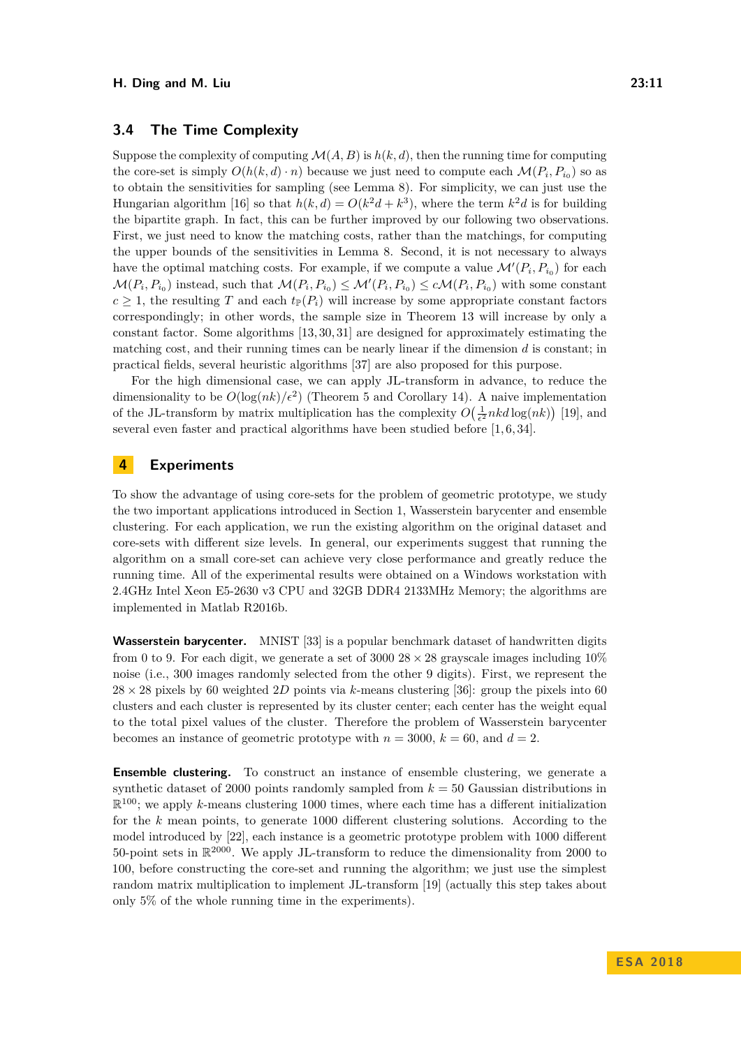## <span id="page-10-1"></span>**3.4 The Time Complexity**

Suppose the complexity of computing  $\mathcal{M}(A, B)$  is  $h(k, d)$ , then the running time for computing the core-set is simply  $O(h(k, d) \cdot n)$  because we just need to compute each  $\mathcal{M}(P_i, P_{i_0})$  so as to obtain the sensitivities for sampling (see Lemma [8\)](#page-6-1). For simplicity, we can just use the Hungarian algorithm [\[16\]](#page-13-1) so that  $h(k, d) = O(k^2d + k^3)$ , where the term  $k^2d$  is for building the bipartite graph. In fact, this can be further improved by our following two observations. First, we just need to know the matching costs, rather than the matchings, for computing the upper bounds of the sensitivities in Lemma [8.](#page-6-1) Second, it is not necessary to always have the optimal matching costs. For example, if we compute a value  $\mathcal{M}'(P_i, P_{i_0})$  for each  $\mathcal{M}(P_i, P_{i_0})$  instead, such that  $\mathcal{M}(P_i, P_{i_0}) \leq \mathcal{M}'(P_i, P_{i_0}) \leq c\mathcal{M}(P_i, P_{i_0})$  with some constant  $c \geq 1$ , the resulting *T* and each  $t_{\mathbb{P}}(P_i)$  will increase by some appropriate constant factors correspondingly; in other words, the sample size in Theorem [13](#page-9-0) will increase by only a constant factor. Some algorithms [\[13,](#page-12-12) [30,](#page-13-15) [31\]](#page-13-16) are designed for approximately estimating the matching cost, and their running times can be nearly linear if the dimension *d* is constant; in practical fields, several heuristic algorithms [\[37\]](#page-14-10) are also proposed for this purpose.

For the high dimensional case, we can apply JL-transform in advance, to reduce the dimensionality to be  $O(\log(nk)/\epsilon^2)$  (Theorem [5](#page-4-3) and Corollary [14\)](#page-9-2). A naive implementation of the JL-transform by matrix multiplication has the complexity  $O\left(\frac{1}{\epsilon^2} n k d \log(nk)\right)$  [\[19\]](#page-13-17), and several even faster and practical algorithms have been studied before [\[1,](#page-12-9) [6,](#page-12-13) [34\]](#page-13-18).

## <span id="page-10-0"></span>**4 Experiments**

To show the advantage of using core-sets for the problem of geometric prototype, we study the two important applications introduced in Section [1,](#page-0-0) Wasserstein barycenter and ensemble clustering. For each application, we run the existing algorithm on the original dataset and core-sets with different size levels. In general, our experiments suggest that running the algorithm on a small core-set can achieve very close performance and greatly reduce the running time. All of the experimental results were obtained on a Windows workstation with 2.4GHz Intel Xeon E5-2630 v3 CPU and 32GB DDR4 2133MHz Memory; the algorithms are implemented in Matlab R2016b.

**Wasserstein barycenter.** MNIST [\[33\]](#page-13-19) is a popular benchmark dataset of handwritten digits from 0 to 9. For each digit, we generate a set of 3000  $28 \times 28$  grayscale images including 10% noise (i.e., 300 images randomly selected from the other 9 digits). First, we represent the  $28 \times 28$  pixels by 60 weighted 2D points via *k*-means clustering [\[36\]](#page-13-20): group the pixels into 60 clusters and each cluster is represented by its cluster center; each center has the weight equal to the total pixel values of the cluster. Therefore the problem of Wasserstein barycenter becomes an instance of geometric prototype with  $n = 3000$ ,  $k = 60$ , and  $d = 2$ .

**Ensemble clustering.** To construct an instance of ensemble clustering, we generate a synthetic dataset of 2000 points randomly sampled from  $k = 50$  Gaussian distributions in  $\mathbb{R}^{100}$ ; we apply *k*-means clustering 1000 times, where each time has a different initialization for the *k* mean points, to generate 1000 different clustering solutions. According to the model introduced by [\[22\]](#page-13-9), each instance is a geometric prototype problem with 1000 different 50-point sets in  $\mathbb{R}^{2000}$ . We apply JL-transform to reduce the dimensionality from 2000 to 100, before constructing the core-set and running the algorithm; we just use the simplest random matrix multiplication to implement JL-transform [\[19\]](#page-13-17) (actually this step takes about only 5% of the whole running time in the experiments).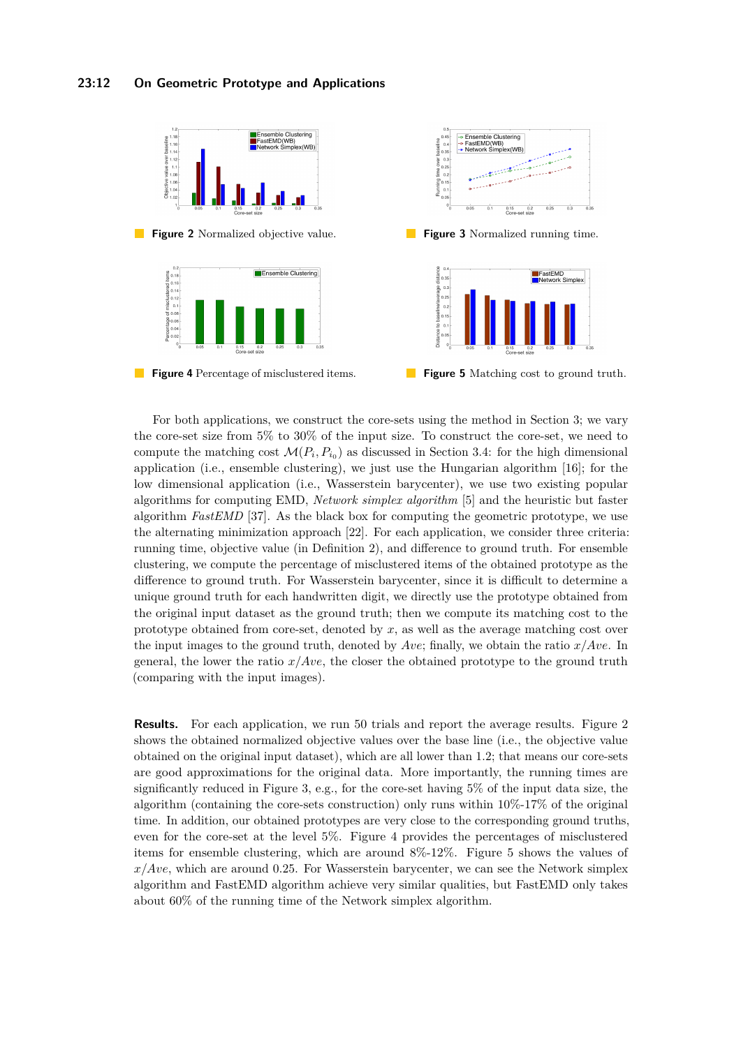<span id="page-11-0"></span>

**Figure 2** Normalized objective value. **Figure 3** Normalized running time.

<span id="page-11-1"></span>





**Figure 4** Percentage of misclustered items. **Figure 5** Matching cost to ground truth.

For both applications, we construct the core-sets using the method in Section [3;](#page-4-0) we vary the core-set size from 5% to 30% of the input size. To construct the core-set, we need to compute the matching cost  $\mathcal{M}(P_i, P_{i_0})$  as discussed in Section [3.4:](#page-10-1) for the high dimensional application (i.e., ensemble clustering), we just use the Hungarian algorithm [\[16\]](#page-13-1); for the low dimensional application (i.e., Wasserstein barycenter), we use two existing popular algorithms for computing EMD, *Network simplex algorithm* [\[5\]](#page-12-14) and the heuristic but faster algorithm *FastEMD* [\[37\]](#page-14-10). As the black box for computing the geometric prototype, we use the alternating minimization approach [\[22\]](#page-13-9). For each application, we consider three criteria: running time, objective value (in Definition [2\)](#page-1-1), and difference to ground truth. For ensemble clustering, we compute the percentage of misclustered items of the obtained prototype as the difference to ground truth. For Wasserstein barycenter, since it is difficult to determine a unique ground truth for each handwritten digit, we directly use the prototype obtained from the original input dataset as the ground truth; then we compute its matching cost to the prototype obtained from core-set, denoted by *x*, as well as the average matching cost over the input images to the ground truth, denoted by *Ave*; finally, we obtain the ratio *x/Ave*. In general, the lower the ratio *x/Ave*, the closer the obtained prototype to the ground truth (comparing with the input images).

**Results.** For each application, we run 50 trials and report the average results. Figure [2](#page-11-0) shows the obtained normalized objective values over the base line (i.e., the objective value obtained on the original input dataset), which are all lower than 1*.*2; that means our core-sets are good approximations for the original data. More importantly, the running times are significantly reduced in Figure [3,](#page-11-0) e.g., for the core-set having 5% of the input data size, the algorithm (containing the core-sets construction) only runs within 10%-17% of the original time. In addition, our obtained prototypes are very close to the corresponding ground truths, even for the core-set at the level 5%. Figure [4](#page-11-1) provides the percentages of misclustered items for ensemble clustering, which are around 8%-12%. Figure [5](#page-11-1) shows the values of *x/Ave*, which are around 0*.*25. For Wasserstein barycenter, we can see the Network simplex algorithm and FastEMD algorithm achieve very similar qualities, but FastEMD only takes about 60% of the running time of the Network simplex algorithm.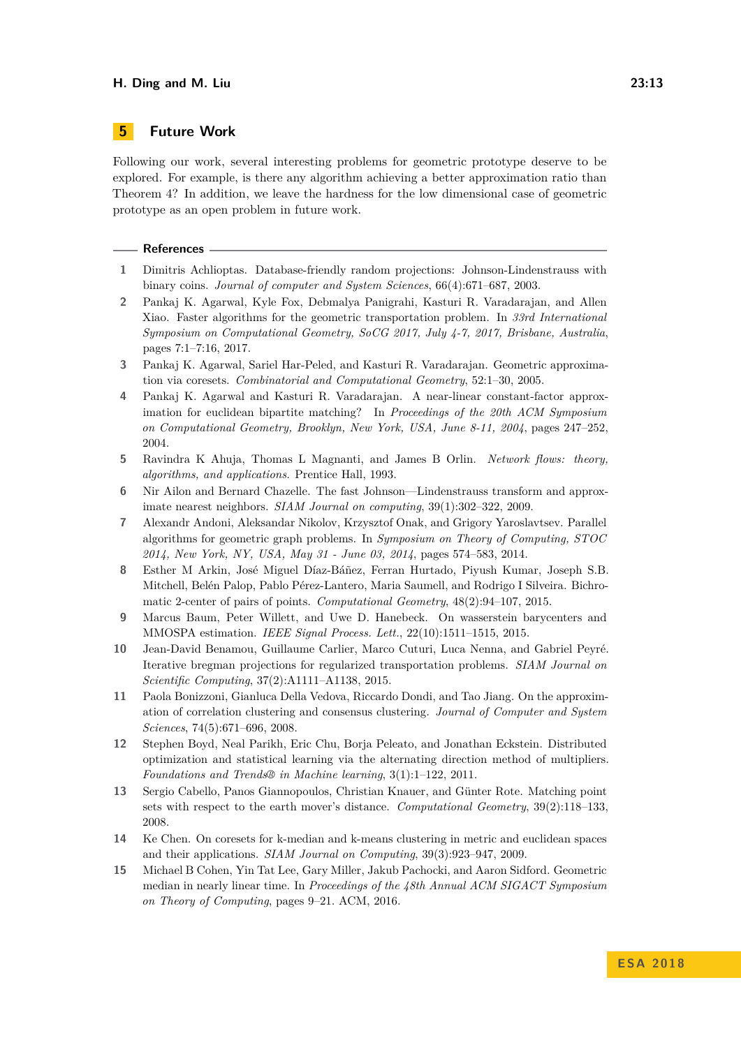## **5 Future Work**

Following our work, several interesting problems for geometric prototype deserve to be explored. For example, is there any algorithm achieving a better approximation ratio than Theorem [4?](#page-3-2) In addition, we leave the hardness for the low dimensional case of geometric prototype as an open problem in future work.

#### **References**

- <span id="page-12-9"></span>**1** Dimitris Achlioptas. Database-friendly random projections: Johnson-Lindenstrauss with binary coins. *Journal of computer and System Sciences*, 66(4):671–687, 2003.
- <span id="page-12-6"></span>**2** Pankaj K. Agarwal, Kyle Fox, Debmalya Panigrahi, Kasturi R. Varadarajan, and Allen Xiao. Faster algorithms for the geometric transportation problem. In *33rd International Symposium on Computational Geometry, SoCG 2017, July 4-7, 2017, Brisbane, Australia*, pages 7:1–7:16, 2017.
- <span id="page-12-4"></span>**3** Pankaj K. Agarwal, Sariel Har-Peled, and Kasturi R. Varadarajan. Geometric approximation via coresets. *Combinatorial and Computational Geometry*, 52:1–30, 2005.
- <span id="page-12-7"></span>**4** Pankaj K. Agarwal and Kasturi R. Varadarajan. A near-linear constant-factor approximation for euclidean bipartite matching? In *Proceedings of the 20th ACM Symposium on Computational Geometry, Brooklyn, New York, USA, June 8-11, 2004*, pages 247–252, 2004.
- <span id="page-12-14"></span>**5** Ravindra K Ahuja, Thomas L Magnanti, and James B Orlin. *Network flows: theory, algorithms, and applications*. Prentice Hall, 1993.
- <span id="page-12-13"></span>**6** Nir Ailon and Bernard Chazelle. The fast Johnson—Lindenstrauss transform and approximate nearest neighbors. *SIAM Journal on computing*, 39(1):302–322, 2009.
- <span id="page-12-8"></span>**7** Alexandr Andoni, Aleksandar Nikolov, Krzysztof Onak, and Grigory Yaroslavtsev. Parallel algorithms for geometric graph problems. In *Symposium on Theory of Computing, STOC 2014, New York, NY, USA, May 31 - June 03, 2014*, pages 574–583, 2014.
- <span id="page-12-5"></span>**8** Esther M Arkin, José Miguel Díaz-Báñez, Ferran Hurtado, Piyush Kumar, Joseph S.B. Mitchell, Belén Palop, Pablo Pérez-Lantero, Maria Saumell, and Rodrigo I Silveira. Bichromatic 2-center of pairs of points. *Computational Geometry*, 48(2):94–107, 2015.
- <span id="page-12-0"></span>**9** Marcus Baum, Peter Willett, and Uwe D. Hanebeck. On wasserstein barycenters and MMOSPA estimation. *IEEE Signal Process. Lett.*, 22(10):1511–1515, 2015.
- <span id="page-12-1"></span>**10** Jean-David Benamou, Guillaume Carlier, Marco Cuturi, Luca Nenna, and Gabriel Peyré. Iterative bregman projections for regularized transportation problems. *SIAM Journal on Scientific Computing*, 37(2):A1111–A1138, 2015.
- <span id="page-12-2"></span>**11** Paola Bonizzoni, Gianluca Della Vedova, Riccardo Dondi, and Tao Jiang. On the approximation of correlation clustering and consensus clustering. *Journal of Computer and System Sciences*, 74(5):671–696, 2008.
- <span id="page-12-3"></span>**12** Stephen Boyd, Neal Parikh, Eric Chu, Borja Peleato, and Jonathan Eckstein. Distributed optimization and statistical learning via the alternating direction method of multipliers. *Foundations and Trends® in Machine learning*, 3(1):1–122, 2011.
- <span id="page-12-12"></span>**13** Sergio Cabello, Panos Giannopoulos, Christian Knauer, and Günter Rote. Matching point sets with respect to the earth mover's distance. *Computational Geometry*, 39(2):118–133, 2008.
- <span id="page-12-10"></span>**14** Ke Chen. On coresets for k-median and k-means clustering in metric and euclidean spaces and their applications. *SIAM Journal on Computing*, 39(3):923–947, 2009.
- <span id="page-12-11"></span>**15** Michael B Cohen, Yin Tat Lee, Gary Miller, Jakub Pachocki, and Aaron Sidford. Geometric median in nearly linear time. In *Proceedings of the 48th Annual ACM SIGACT Symposium on Theory of Computing*, pages 9–21. ACM, 2016.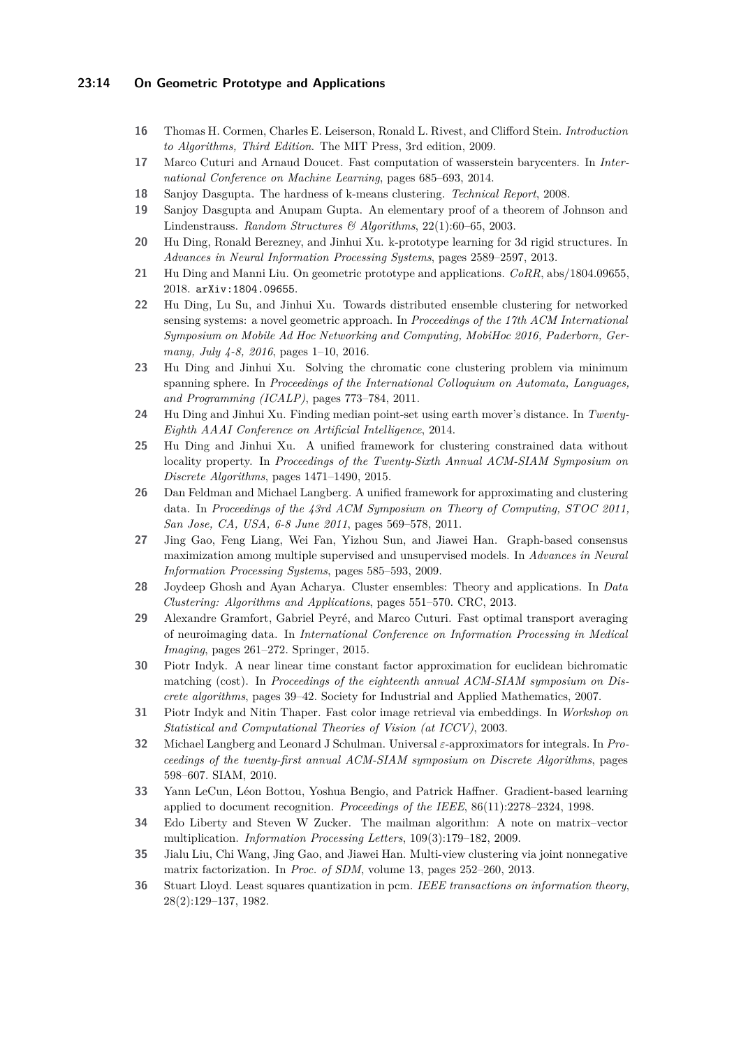### **23:14 On Geometric Prototype and Applications**

- <span id="page-13-1"></span>**16** Thomas H. Cormen, Charles E. Leiserson, Ronald L. Rivest, and Clifford Stein. *Introduction to Algorithms, Third Edition*. The MIT Press, 3rd edition, 2009.
- <span id="page-13-2"></span>**17** Marco Cuturi and Arnaud Doucet. Fast computation of wasserstein barycenters. In *International Conference on Machine Learning*, pages 685–693, 2014.
- <span id="page-13-12"></span>**18** Sanjoy Dasgupta. The hardness of k-means clustering. *Technical Report*, 2008.
- <span id="page-13-17"></span>**19** Sanjoy Dasgupta and Anupam Gupta. An elementary proof of a theorem of Johnson and Lindenstrauss. *Random Structures & Algorithms*, 22(1):60–65, 2003.
- <span id="page-13-4"></span>**20** Hu Ding, Ronald Berezney, and Jinhui Xu. k-prototype learning for 3d rigid structures. In *Advances in Neural Information Processing Systems*, pages 2589–2597, 2013.
- <span id="page-13-0"></span>**21** Hu Ding and Manni Liu. On geometric prototype and applications. *CoRR*, abs/1804.09655, 2018. [arXiv:1804.09655](http://arxiv.org/abs/1804.09655).
- <span id="page-13-9"></span>**22** Hu Ding, Lu Su, and Jinhui Xu. Towards distributed ensemble clustering for networked sensing systems: a novel geometric approach. In *Proceedings of the 17th ACM International Symposium on Mobile Ad Hoc Networking and Computing, MobiHoc 2016, Paderborn, Germany, July 4-8, 2016*, pages 1–10, 2016.
- <span id="page-13-10"></span>**23** Hu Ding and Jinhui Xu. Solving the chromatic cone clustering problem via minimum spanning sphere. In *Proceedings of the International Colloquium on Automata, Languages, and Programming (ICALP)*, pages 773–784, 2011.
- <span id="page-13-5"></span>**24** Hu Ding and Jinhui Xu. Finding median point-set using earth mover's distance. In *Twenty-Eighth AAAI Conference on Artificial Intelligence*, 2014.
- <span id="page-13-11"></span>**25** Hu Ding and Jinhui Xu. A unified framework for clustering constrained data without locality property. In *Proceedings of the Twenty-Sixth Annual ACM-SIAM Symposium on Discrete Algorithms*, pages 1471–1490, 2015.
- <span id="page-13-14"></span>**26** Dan Feldman and Michael Langberg. A unified framework for approximating and clustering data. In *Proceedings of the 43rd ACM Symposium on Theory of Computing, STOC 2011, San Jose, CA, USA, 6-8 June 2011*, pages 569–578, 2011.
- <span id="page-13-7"></span>**27** Jing Gao, Feng Liang, Wei Fan, Yizhou Sun, and Jiawei Han. Graph-based consensus maximization among multiple supervised and unsupervised models. In *Advances in Neural Information Processing Systems*, pages 585–593, 2009.
- <span id="page-13-6"></span>**28** Joydeep Ghosh and Ayan Acharya. Cluster ensembles: Theory and applications. In *Data Clustering: Algorithms and Applications*, pages 551–570. CRC, 2013.
- <span id="page-13-3"></span>**29** Alexandre Gramfort, Gabriel Peyré, and Marco Cuturi. Fast optimal transport averaging of neuroimaging data. In *International Conference on Information Processing in Medical Imaging*, pages 261–272. Springer, 2015.
- <span id="page-13-15"></span>**30** Piotr Indyk. A near linear time constant factor approximation for euclidean bichromatic matching (cost). In *Proceedings of the eighteenth annual ACM-SIAM symposium on Discrete algorithms*, pages 39–42. Society for Industrial and Applied Mathematics, 2007.
- <span id="page-13-16"></span>**31** Piotr Indyk and Nitin Thaper. Fast color image retrieval via embeddings. In *Workshop on Statistical and Computational Theories of Vision (at ICCV)*, 2003.
- <span id="page-13-13"></span>**32** Michael Langberg and Leonard J Schulman. Universal *ε*-approximators for integrals. In *Proceedings of the twenty-first annual ACM-SIAM symposium on Discrete Algorithms*, pages 598–607. SIAM, 2010.
- <span id="page-13-19"></span>**33** Yann LeCun, Léon Bottou, Yoshua Bengio, and Patrick Haffner. Gradient-based learning applied to document recognition. *Proceedings of the IEEE*, 86(11):2278–2324, 1998.
- <span id="page-13-18"></span>**34** Edo Liberty and Steven W Zucker. The mailman algorithm: A note on matrix–vector multiplication. *Information Processing Letters*, 109(3):179–182, 2009.
- <span id="page-13-8"></span>**35** Jialu Liu, Chi Wang, Jing Gao, and Jiawei Han. Multi-view clustering via joint nonnegative matrix factorization. In *Proc. of SDM*, volume 13, pages 252–260, 2013.
- <span id="page-13-20"></span>**36** Stuart Lloyd. Least squares quantization in pcm. *IEEE transactions on information theory*, 28(2):129–137, 1982.